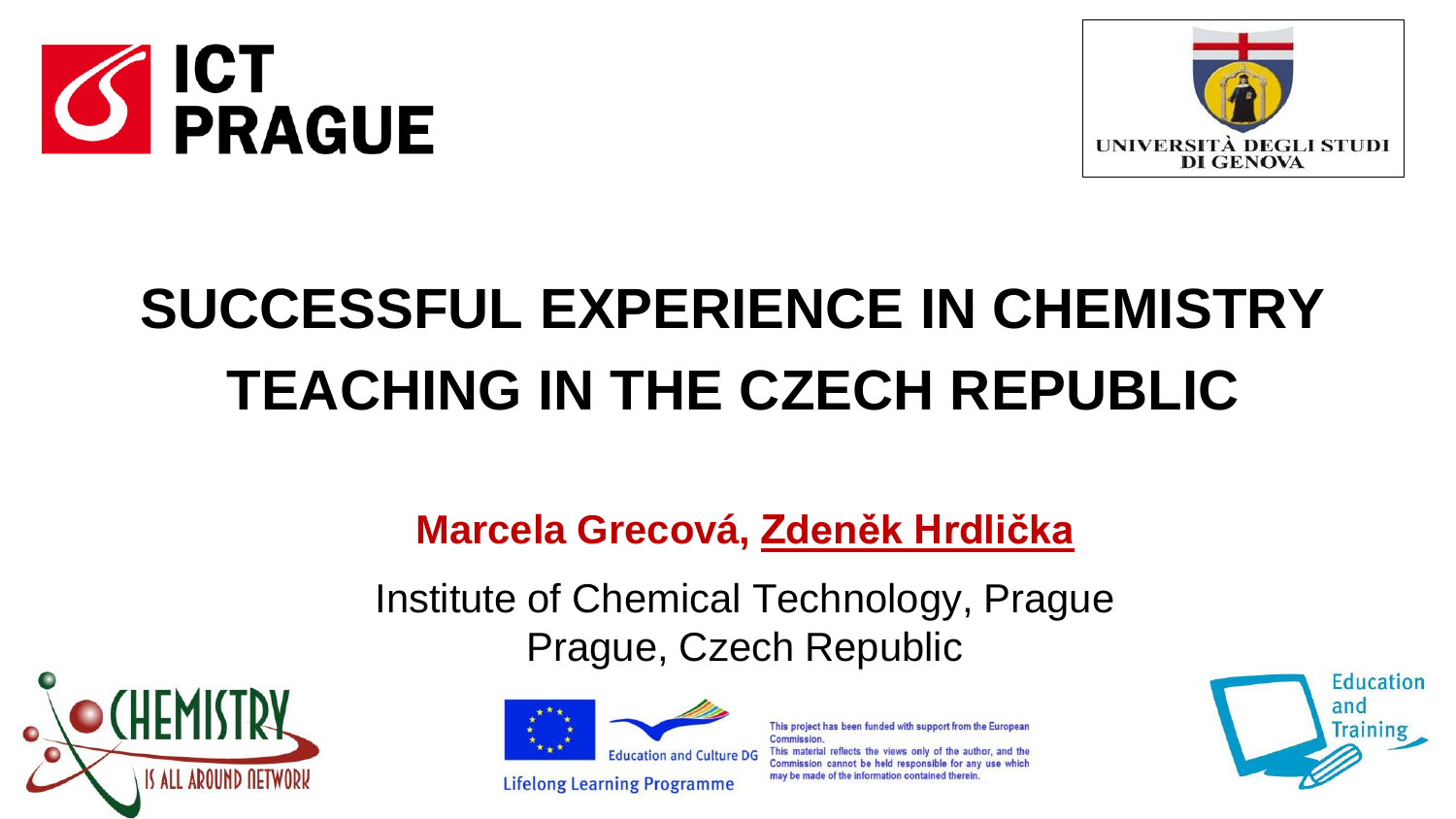



# **SUCCESSFUL EXPERIENCE IN CHEMISTRY TEACHING IN THE CZECH REPUBLIC**

# **Marcela Grecová, Zdeněk Hrdlička**

Institute of Chemical Technology, Prague Prague, Czech Republic





Commission This material reflects the views only of Commission cannot be held responsible for any use which may be made of the information contained therein **Lifelong Learning Programme** 

This project has been funded with support from the European

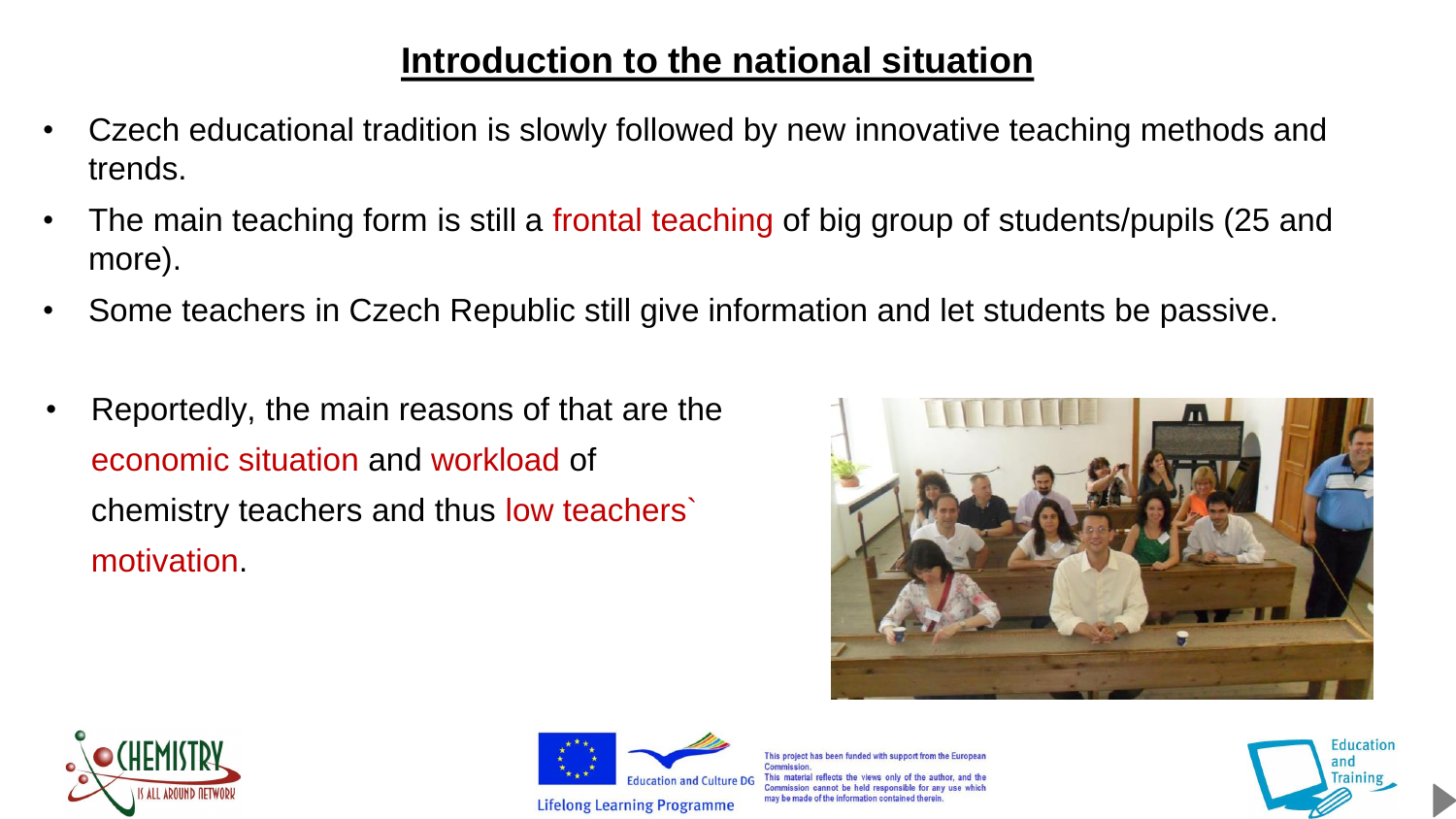# **Introduction to the national situation**

- Czech educational tradition is slowly followed by new innovative teaching methods and trends.
- The main teaching form is still a frontal teaching of big group of students/pupils (25 and more).
- Some teachers in Czech Republic still give information and let students be passive.
- Reportedly, the main reasons of that are the economic situation and workload of chemistry teachers and thus low teachers` motivation.







This project has been funded with support from the i This material reflects the views only Commission cannot be held responsible for any may be made of the information contained therein

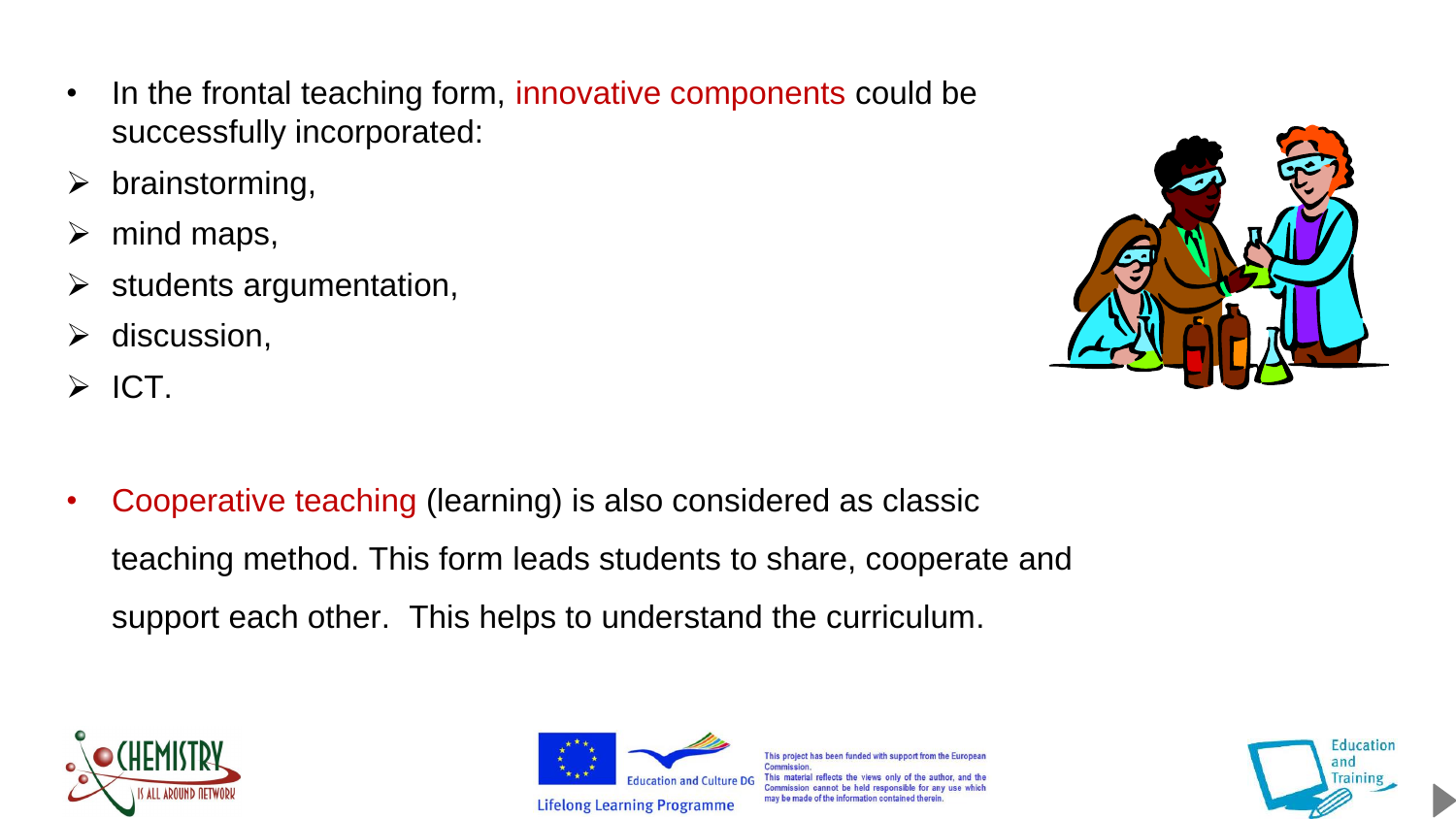- In the frontal teaching form, innovative components could be successfully incorporated:
- $\triangleright$  brainstorming,
- $\triangleright$  mind maps,
- $\triangleright$  students argumentation,
- $\triangleright$  discussion,
- $\triangleright$  ICT.



• Cooperative teaching (learning) is also considered as classic teaching method. This form leads students to share, cooperate and support each other. This helps to understand the curriculum.





This project has been funded with support from the Europea **Commission** This material reflects the views only of the author, and the Commission cannot be held responsible for any use which may be made of the information contained therein

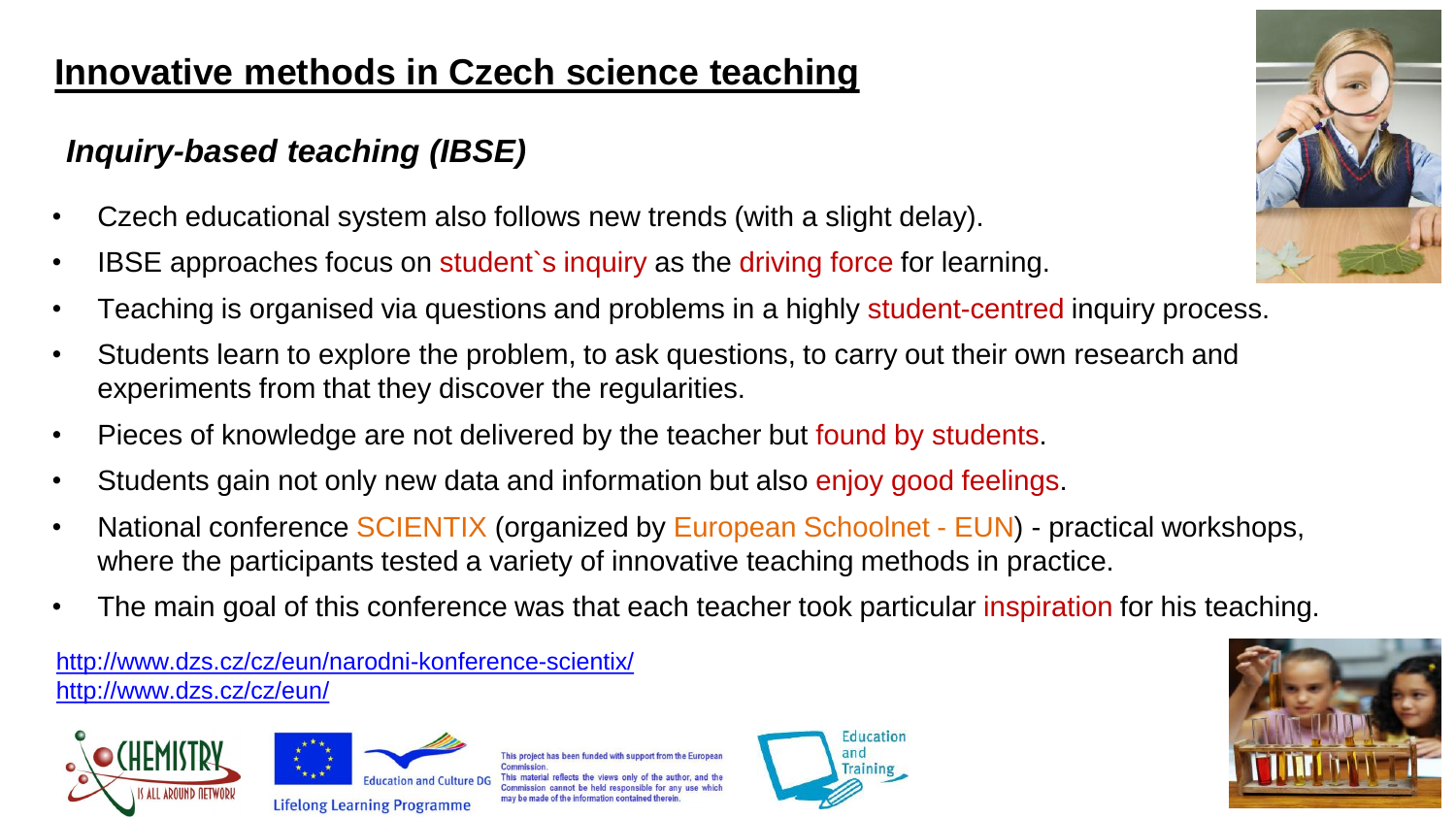# **Innovative methods in Czech science teaching**

# *Inquiry-based teaching (IBSE)*

- Czech educational system also follows new trends (with a slight delay).
- IBSE approaches focus on student's inquiry as the driving force for learning.
- Teaching is organised via questions and problems in a highly student-centred inquiry process.
- Students learn to explore the problem, to ask questions, to carry out their own research and experiments from that they discover the regularities.
- Pieces of knowledge are not delivered by the teacher but found by students.
- Students gain not only new data and information but also enjoy good feelings.
- National conference SCIENTIX (organized by European Schoolnet EUN) practical workshops, where the participants tested a variety of innovative teaching methods in practice.
- The main goal of this conference was that each teacher took particular inspiration for his teaching.

<http://www.dzs.cz/cz/eun/narodni-konference-scientix/> <http://www.dzs.cz/cz/eun/>





his project has been funded with support from the Europea





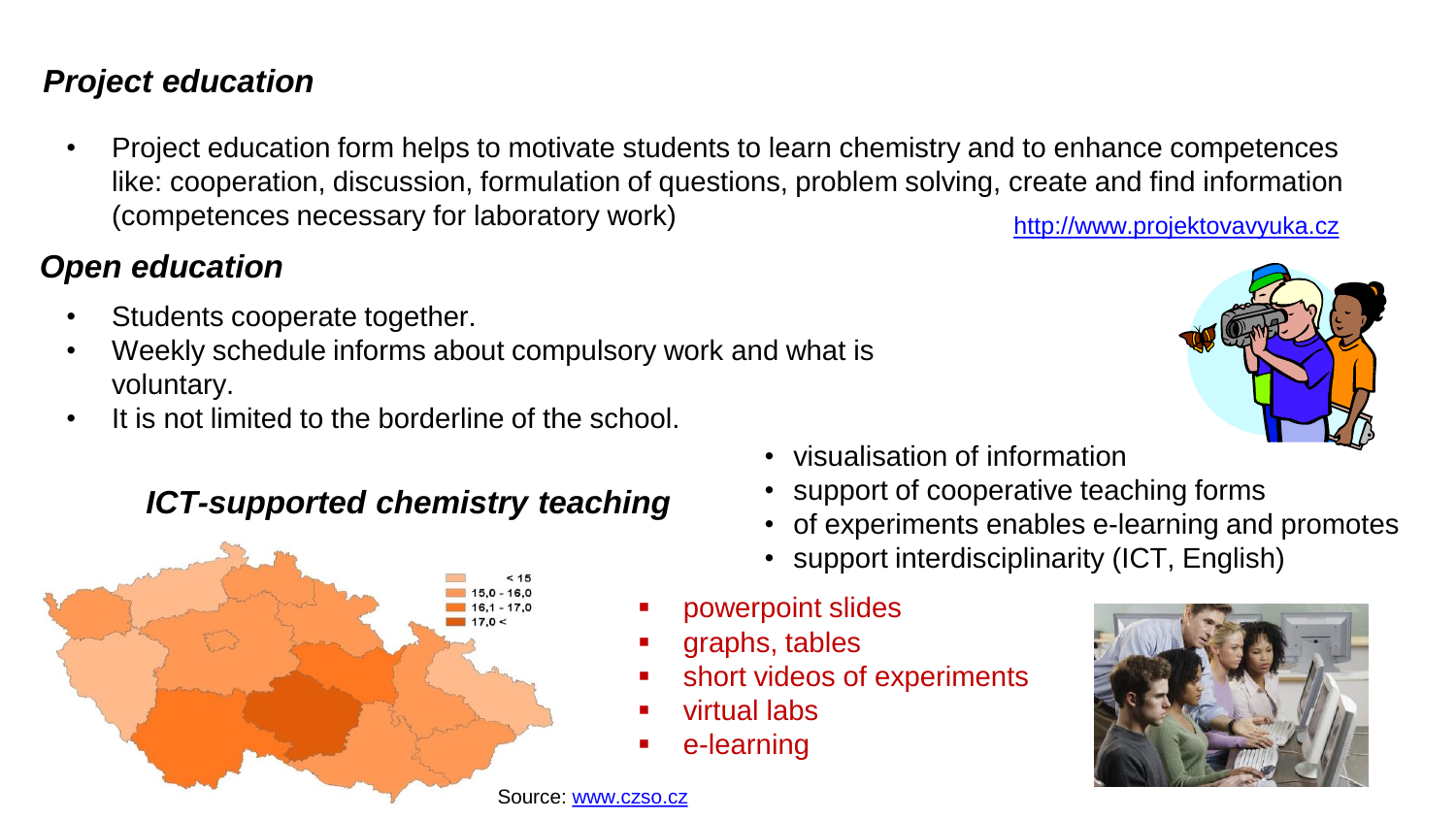#### *Project education*

• Project education form helps to motivate students to learn chemistry and to enhance competences like: cooperation, discussion, formulation of questions, problem solving, create and find information (competences necessary for laboratory work) [http://www.projektovavyuka.cz](http://www.projektovavyuka.cz/)

### *Open education*

- Students cooperate together.
- Weekly schedule informs about compulsory work and what is voluntary.
- It is not limited to the borderline of the school.

### *ICT-supported chemistry teaching*



- visualisation of information
- support of cooperative teaching forms
- of experiments enables e-learning and promotes
- support interdisciplinarity (ICT, English)
- powerpoint slides
- graphs, tables
- short videos of experiments
- virtual labs
- e-learning



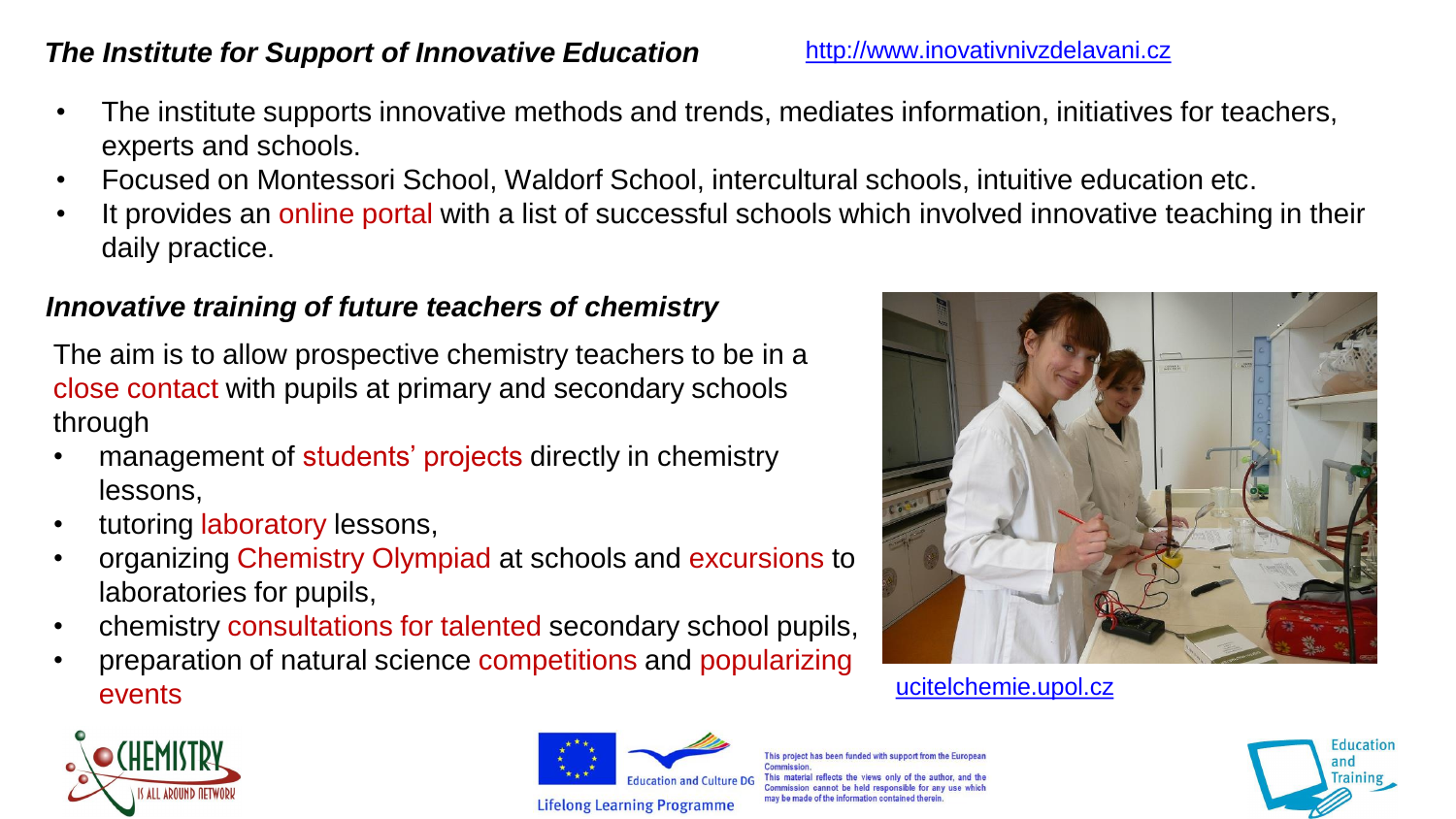#### **The Institute for Support of Innovative Education** [http://www.inovativnivzdelavani.cz](http://www.inovativnivzdelavani.cz/)

- The institute supports innovative methods and trends, mediates information, initiatives for teachers, experts and schools.
- Focused on Montessori School, Waldorf School, intercultural schools, intuitive education etc.
- It provides an online portal with a list of successful schools which involved innovative teaching in their daily practice.

#### *Innovative training of future teachers of chemistry*

The aim is to allow prospective chemistry teachers to be in a close contact with pupils at primary and secondary schools through

- management of students' projects directly in chemistry lessons,
- tutoring laboratory lessons,
- organizing Chemistry Olympiad at schools and excursions to laboratories for pupils,
- chemistry consultations for talented secondary school pupils,
- preparation of natural science competitions and popularizing events under the contract of the contract of the contract of the contract of the contract of the contract of the contract of the contract of the contract of the contract of the contract of the contract of the contract of t







This project has been funded with support from the Europe Commission his material reflects the views only of the author, and the Commission cannot be held responsible for any use may be made of the information contained therein

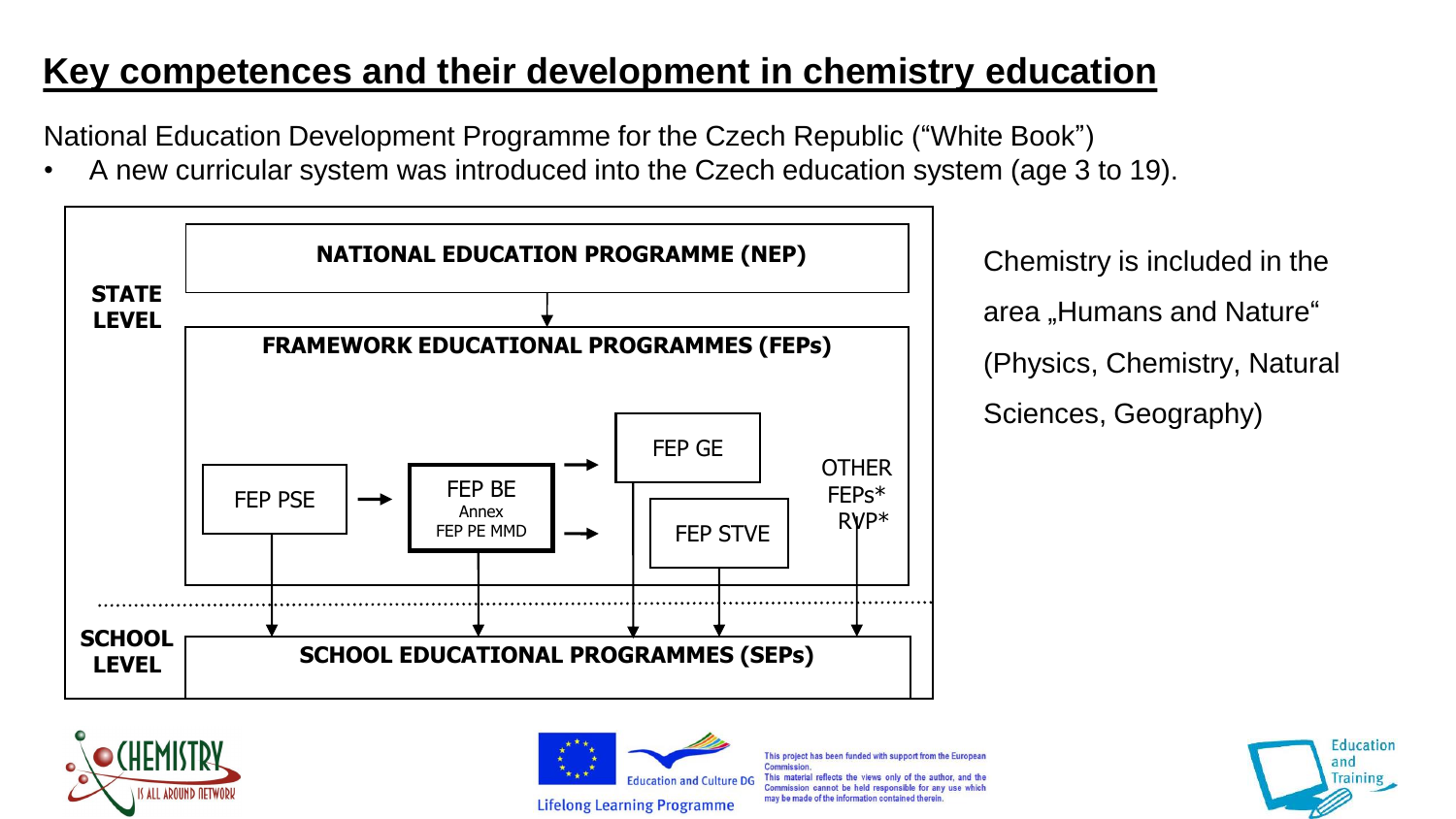# **Key competences and their development in chemistry education**

National Education Development Programme for the Czech Republic ("White Book")

• A new curricular system was introduced into the Czech education system (age 3 to 19).



area "Humans and Nature" (Physics, Chemistry, Natural Sciences, Geography)





This project has been funded with support from the European **Commission** This material reflects the views only of the author, and the Commission cannot be held responsible for any use which may be made of the information contained therein

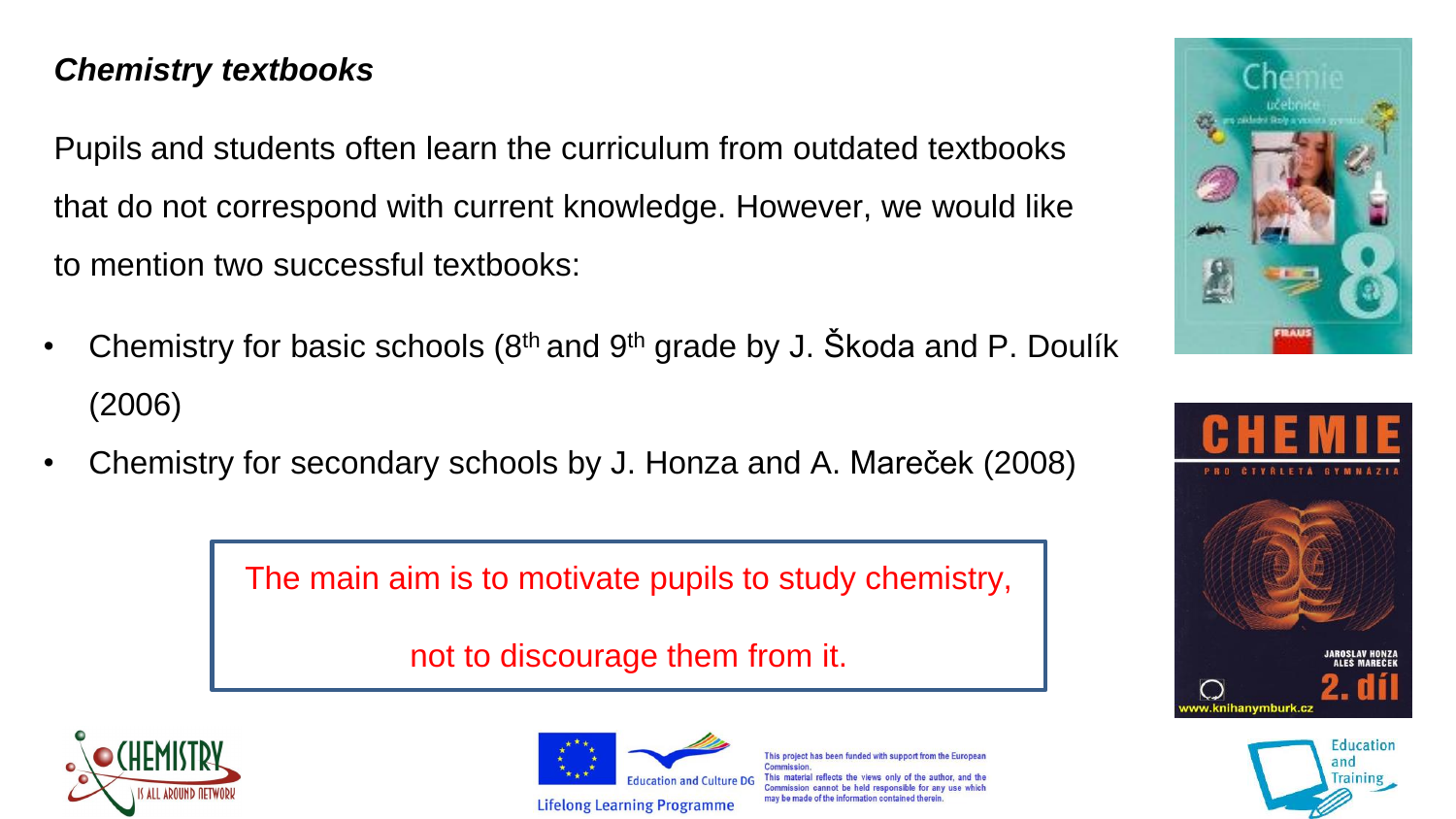### *Chemistry textbooks*

Pupils and students often learn the curriculum from outdated textbooks that do not correspond with current knowledge. However, we would like to mention two successful textbooks:

- Chemistry for basic schools ( $8<sup>th</sup>$  and  $9<sup>th</sup>$  grade by J. Škoda and P. Doulík (2006)
- Chemistry for secondary schools by J. Honza and A. Mareček (2008)

The main aim is to motivate pupils to study chemistry,

not to discourage them from it.





This project has been funded with support from the Commission This material reflects the views only of the Commission cannot be held responsible for any use may he made of the information contained therein





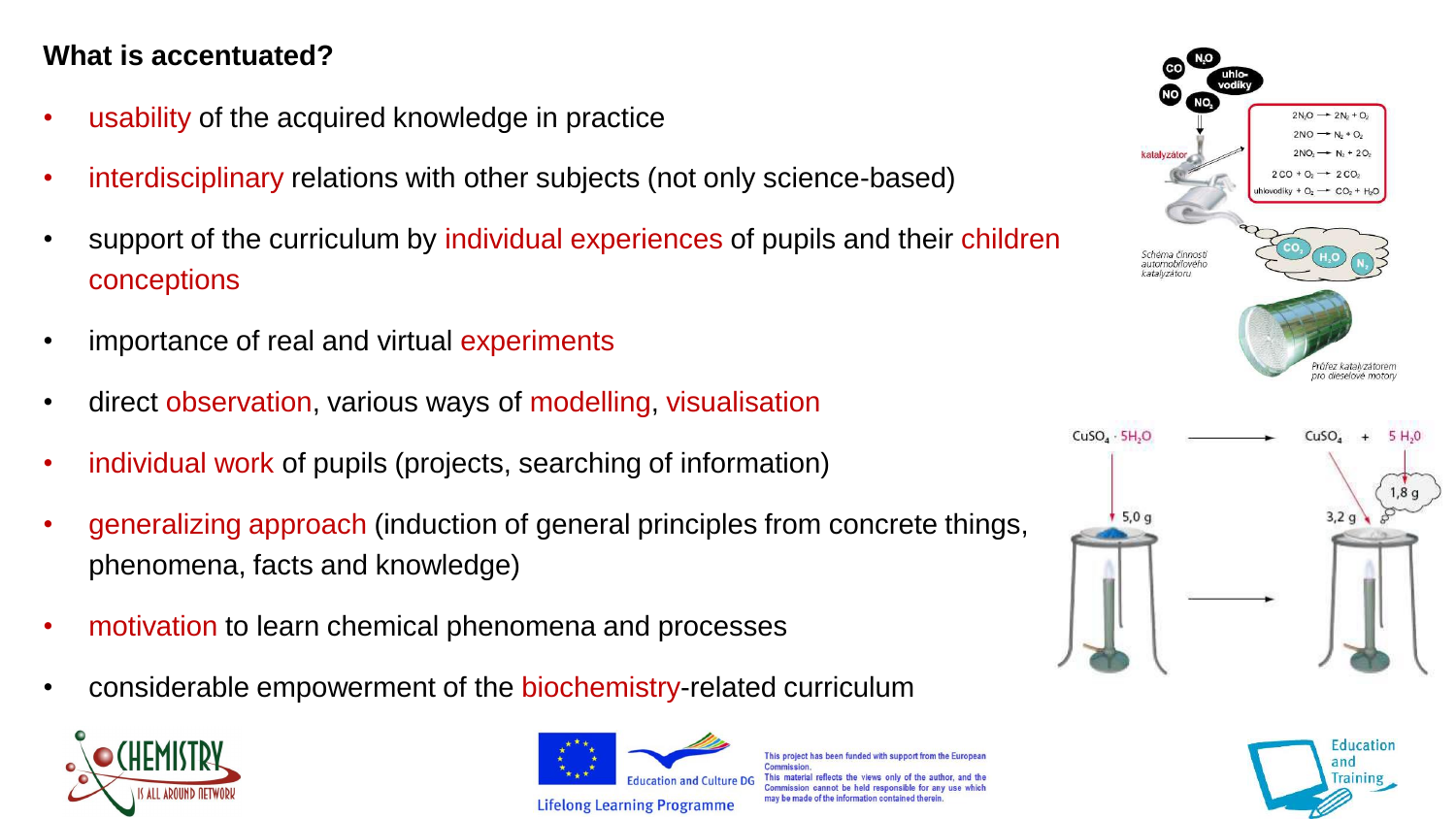#### **What is accentuated?**

- usability of the acquired knowledge in practice
- interdisciplinary relations with other subjects (not only science-based)
- support of the curriculum by individual experiences of pupils and their children conceptions
- importance of real and virtual experiments
- direct observation, various ways of modelling, visualisation
- individual work of pupils (projects, searching of information)
- generalizing approach (induction of general principles from concrete things, phenomena, facts and knowledge)
- motivation to learn chemical phenomena and processes
- considerable empowerment of the biochemistry-related curriculum





This project has been funded with support from the Europe Commission This material reflects the views only of the author commission cannot be held responsible for any use may be made of the information contained therein



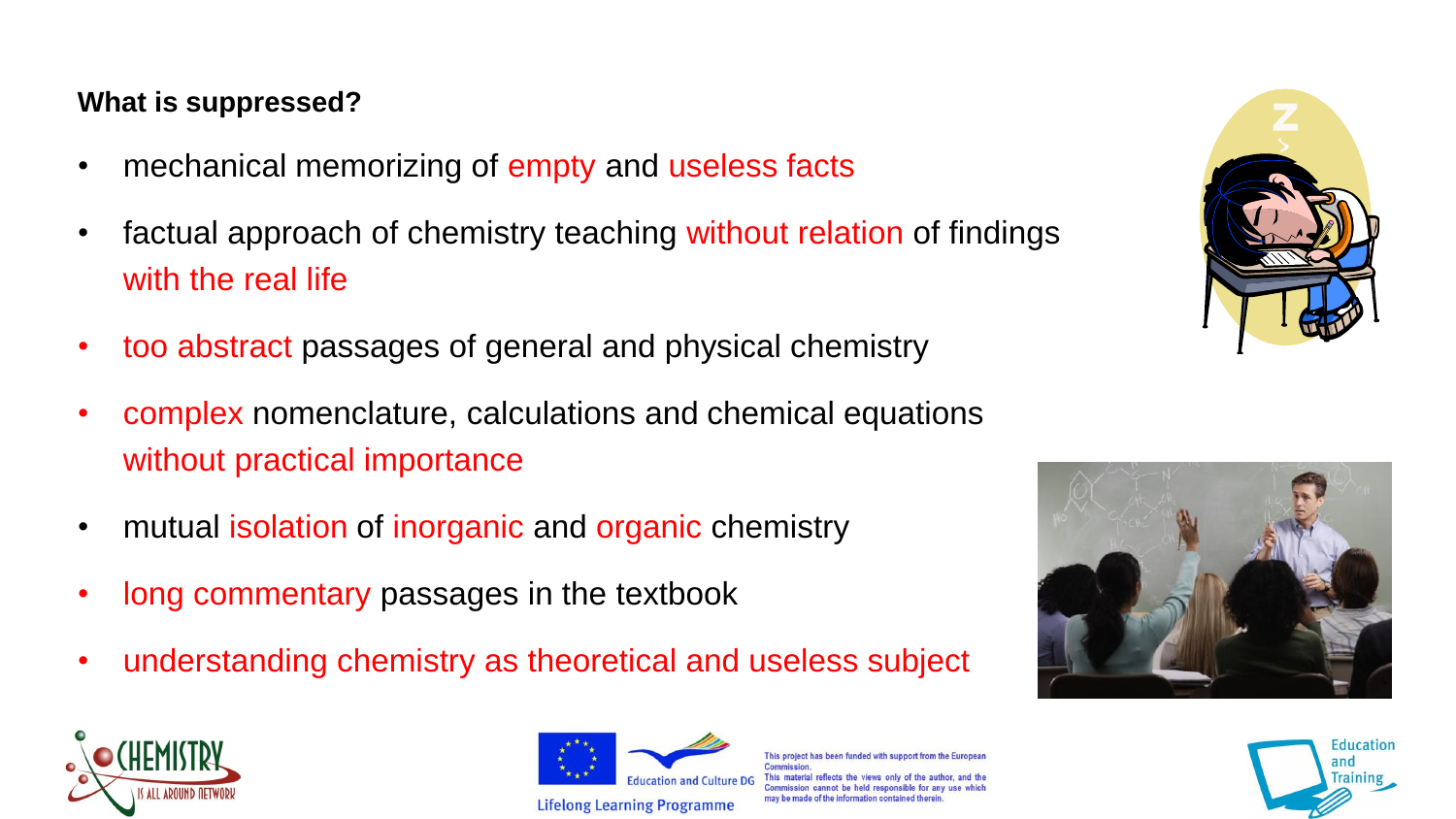#### **What is suppressed?**

- mechanical memorizing of empty and useless facts
- factual approach of chemistry teaching without relation of findings with the real life
- too abstract passages of general and physical chemistry
- complex nomenclature, calculations and chemical equations without practical importance
- mutual isolation of inorganic and organic chemistry
- long commentary passages in the textbook
- understanding chemistry as theoretical and useless subject





This project has been funded with support from the Europe his material reflects the views only of th mmission cannot be held responsible for any may be made of the information contained therein





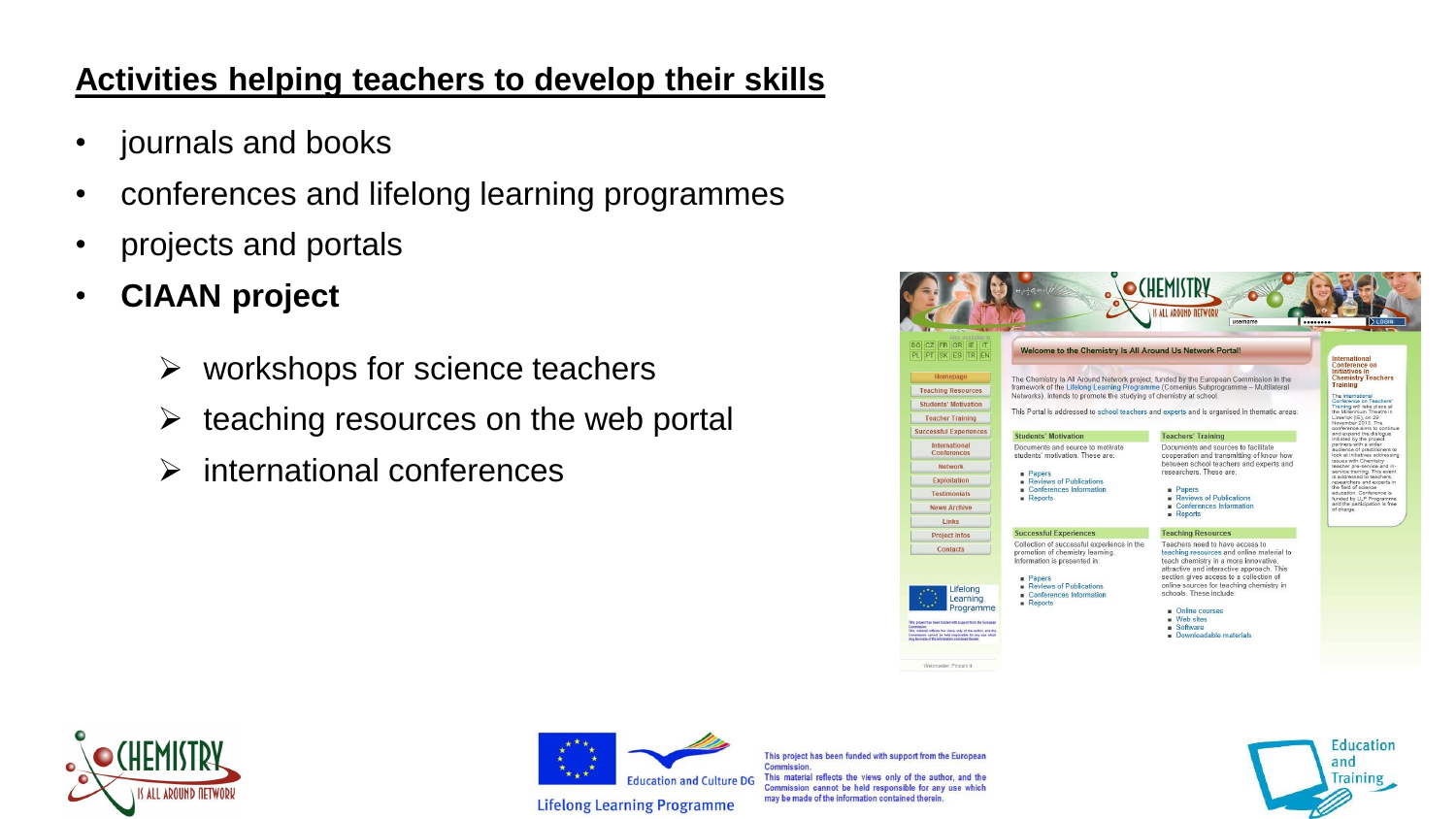## **Activities helping teachers to develop their skills**

- journals and books
- conferences and lifelong learning programmes
- projects and portals
- **CIAAN project**
	- $\triangleright$  workshops for science teachers
	- $\triangleright$  teaching resources on the web portal
	- $\triangleright$  international conferences

|                                                                                                                                                                                        |                                                                                                                                                                                                                                                                                                                                                                                                                                                                                                                                                          | IS ALL AROUND DETWORK                                                                                                                                                                                                                                                                |                                                                                                                                                                                                                                                                                                                                                                                                                 |
|----------------------------------------------------------------------------------------------------------------------------------------------------------------------------------------|----------------------------------------------------------------------------------------------------------------------------------------------------------------------------------------------------------------------------------------------------------------------------------------------------------------------------------------------------------------------------------------------------------------------------------------------------------------------------------------------------------------------------------------------------------|--------------------------------------------------------------------------------------------------------------------------------------------------------------------------------------------------------------------------------------------------------------------------------------|-----------------------------------------------------------------------------------------------------------------------------------------------------------------------------------------------------------------------------------------------------------------------------------------------------------------------------------------------------------------------------------------------------------------|
| CZ FR GR IE IT<br><b>BGI</b><br>PL PT SK ES TR EN<br>Homepage<br><b>Teaching Resources</b><br><b>Students' Motivation</b>                                                              | <br>username<br>Welcome to the Chemistry Is All Around Us Network Portal!<br>International<br>Conference on<br><b>Initiatives in</b><br>The Chemistry Is All Around Network project, funded by the European Commission in the<br>Training<br>framework of the Lifelong Learning Programme (Comenius Subprogramme - Multilateral<br>Networks), intends to promote the studying of chemistry at school.<br>The International<br>Training will take place at<br>This Portal is addressed to school teachers and experts and is organised in thematic areas: |                                                                                                                                                                                                                                                                                      | LOGI<br><b>Chemistry Teachers</b><br>Conference on Teachers'                                                                                                                                                                                                                                                                                                                                                    |
| <b>Teacher Training</b>                                                                                                                                                                |                                                                                                                                                                                                                                                                                                                                                                                                                                                                                                                                                          |                                                                                                                                                                                                                                                                                      | the Millennium Theatre in<br>Limerick (IE), on 29<br>November 2013. The                                                                                                                                                                                                                                                                                                                                         |
| <b>Successful Experiences</b>                                                                                                                                                          | <b>Students' Motivation</b>                                                                                                                                                                                                                                                                                                                                                                                                                                                                                                                              | <b>Teachers' Training</b>                                                                                                                                                                                                                                                            | conference aims to continue<br>and expand the dialogue<br>initiated by the project<br>partners with a wider<br>audience of practitioners to<br>look at initiatives addressing<br>issues with Chemistry<br>teacher pre-service and in-<br>service training. This event<br>is addressed to teachers.<br>researchers and experts in<br>the field of science<br>education. Conference is<br>funded by LLP Programme |
| International<br>Conferences                                                                                                                                                           | Documents and source to motivate<br>students' motivation. These are:<br><b>Papers</b><br>Reviews of Publications<br>Conferences Information<br>Reports                                                                                                                                                                                                                                                                                                                                                                                                   | Documents and sources to facilitate<br>cooperation and transmitting of know how                                                                                                                                                                                                      |                                                                                                                                                                                                                                                                                                                                                                                                                 |
| Network                                                                                                                                                                                |                                                                                                                                                                                                                                                                                                                                                                                                                                                                                                                                                          | between school teachers and experts and<br>researchers. These are:                                                                                                                                                                                                                   |                                                                                                                                                                                                                                                                                                                                                                                                                 |
| Exploitation                                                                                                                                                                           |                                                                                                                                                                                                                                                                                                                                                                                                                                                                                                                                                          | <b>Papers</b><br>Reviews of Publications<br>Conferences Information<br>Reports                                                                                                                                                                                                       |                                                                                                                                                                                                                                                                                                                                                                                                                 |
| <b>Testimonials</b>                                                                                                                                                                    |                                                                                                                                                                                                                                                                                                                                                                                                                                                                                                                                                          |                                                                                                                                                                                                                                                                                      |                                                                                                                                                                                                                                                                                                                                                                                                                 |
| <b>News Archive</b>                                                                                                                                                                    |                                                                                                                                                                                                                                                                                                                                                                                                                                                                                                                                                          |                                                                                                                                                                                                                                                                                      | and the participation is free<br>of charge.                                                                                                                                                                                                                                                                                                                                                                     |
| <b>Links</b>                                                                                                                                                                           |                                                                                                                                                                                                                                                                                                                                                                                                                                                                                                                                                          |                                                                                                                                                                                                                                                                                      |                                                                                                                                                                                                                                                                                                                                                                                                                 |
| <b>Project Infos</b>                                                                                                                                                                   | <b>Successful Experiences</b>                                                                                                                                                                                                                                                                                                                                                                                                                                                                                                                            | <b>Teaching Resources</b>                                                                                                                                                                                                                                                            |                                                                                                                                                                                                                                                                                                                                                                                                                 |
| Contacts<br>Lifelong                                                                                                                                                                   | Collection of successful experience in the<br>promotion of chemistry learning.<br>Information is presented in:<br><b>Papers</b><br>Reviews of Publications<br>Conferences Information<br>Reports                                                                                                                                                                                                                                                                                                                                                         | Teachers need to have access to<br>teaching resources and online material to<br>teach chemistry in a more innovative.<br>attractive and interactive approach. This<br>section gives access to a collection of<br>online sources for teaching chemistry in<br>schools. These include: |                                                                                                                                                                                                                                                                                                                                                                                                                 |
| Learning<br>Programme                                                                                                                                                                  |                                                                                                                                                                                                                                                                                                                                                                                                                                                                                                                                                          |                                                                                                                                                                                                                                                                                      |                                                                                                                                                                                                                                                                                                                                                                                                                 |
|                                                                                                                                                                                        |                                                                                                                                                                                                                                                                                                                                                                                                                                                                                                                                                          | Online courses<br>- Web sites                                                                                                                                                                                                                                                        |                                                                                                                                                                                                                                                                                                                                                                                                                 |
| This project has been funded with support from the European<br>This muterial reflects the views only of the author, and the<br>Commission cannot be held responsible for any use which |                                                                                                                                                                                                                                                                                                                                                                                                                                                                                                                                                          | <b>Boftware</b><br>Downloadable materials                                                                                                                                                                                                                                            |                                                                                                                                                                                                                                                                                                                                                                                                                 |





This project has been funded with support from the European **Commission.** This material reflects the views only of the author, and the Commission cannot be held responsible for any use which may be made of the information contained therein